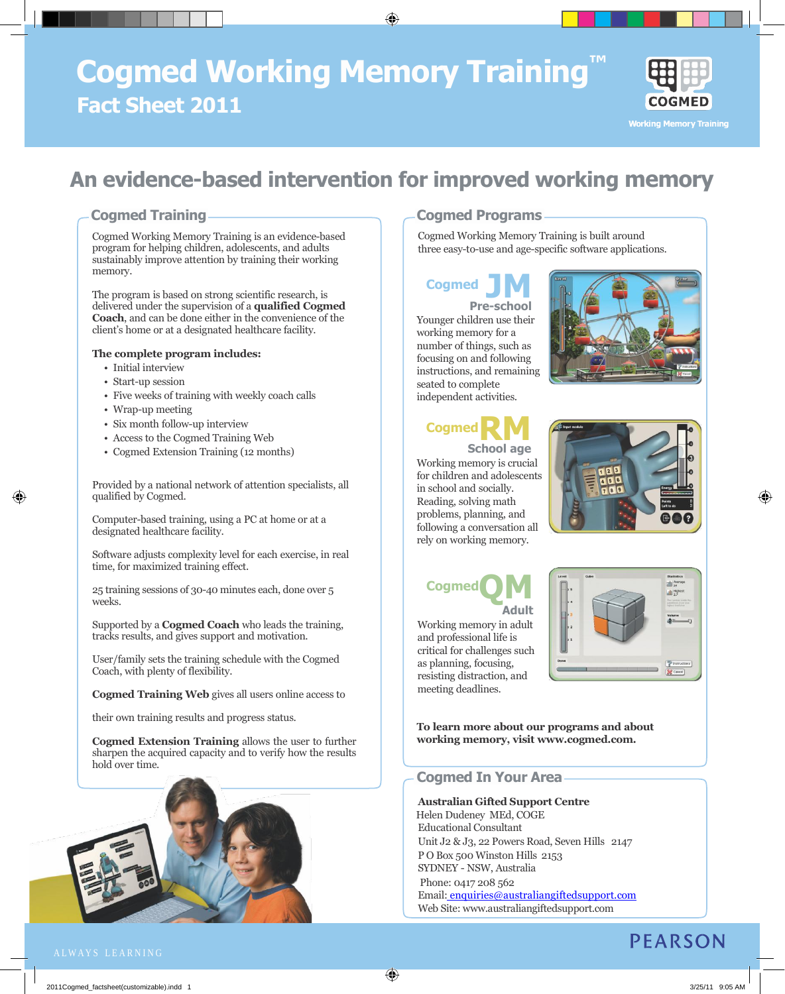# **Cogmed Working Memory Training Fact Sheet 2011**



**Working Memory Training** 

# **An evidence-based intervention for improved working memory**

⊕

## **Cogmed Training**

Cogmed Working Memory Training is an evidence-based program for helping children, adolescents, and adults sustainably improve attention by training their working memory.

The program is based on strong scientific research, is delivered under the supervision of a **qualified Cogmed Coach**, and can be done either in the convenience of the client's home or at a designated healthcare facility.

#### **The complete program includes:**

- Initial interview
- Start-up session
- Five weeks of training with weekly coach calls
- Wrap-up meeting

⊕

- Six month follow-up interview
- Access to the Cogmed Training Web
- Cogmed Extension Training (12 months)

Provided by a national network of attention specialists, all qualified by Cogmed.

Computer-based training, using a PC at home or at a designated healthcare facility.

Software adjusts complexity level for each exercise, in real time, for maximized training effect.

25 training sessions of 30-40 minutes each, done over 5 weeks.

Supported by a **Cogmed Coach** who leads the training, tracks results, and gives support and motivation.

User/family sets the training schedule with the Cogmed Coach, with plenty of flexibility.

**Cogmed Training Web** gives all users online access to

their own training results and progress status.

**Cogmed Extension Training** allows the user to further sharpen the acquired capacity and to verify how the results hold over time.



## **Cogmed Programs**

Cogmed Working Memory Training is built around three easy-to-use and age-specific software applications.

## **Cogmed**

**Pre JM-school** Younger children use their working memory for a number of things, such as focusing on and following instructions, and remaining seated to complete independent activities.



## **Cogmed School age RM**

Working memory is crucial for children and adolescents in school and socially. Reading, solving math problems, planning, and following a conversation all rely on working memory.



⊕

**Cogmed Adult**

Working memory in adult and professional life is critical for challenges such as planning, focusing, resisting distraction, and meeting deadlines.



**To learn more about our programs and about working memory, visit [www.cogmed.com.](http://www.cogmed.com/)**

### **Cogmed In Your Area**

**Australian Gifted Support Centre** Helen Dudeney MEd, COGE Educational Consultant Unit J2 & J3, 22 Powers Road, Seven Hills 2147 P O Box 500 Winston Hills 2153 SYDNEY - NSW, Australia Phone: 0417 208 562 Email: [enquiries@australiangiftedsupport.com](mailto:%20enquiries@australiangiftedsupport.com) Web Site: www.australiangiftedsupport.com

## **PEARSON**

⊕